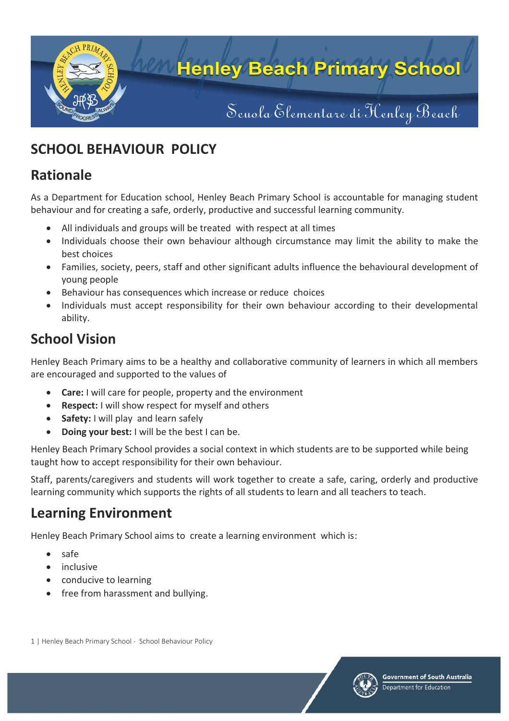

# **SCHOOL BEHAVIOUR POLICY**

### **Rationale**

As a Department for Education school, Henley Beach Primary School is accountable for managing student behaviour and for creating a safe, orderly, productive and successful learning community.

- All individuals and groups will be treated with respect at all times
- Individuals choose their own behaviour although circumstance may limit the ability to make the best choices
- Families, society, peers, staff and other significant adults influence the behavioural development of young people
- Behaviour has consequences which increase or reduce choices
- Individuals must accept responsibility for their own behaviour according to their developmental ability.

# **School Vision**

Henley Beach Primary aims to be a healthy and collaborative community of learners in which all members are encouraged and supported to the values of

- **Care:** I will care for people, property and the environment
- **Respect:** I will show respect for myself and others
- **Safety:** I will play and learn safely
- **Doing your best:** I will be the best I can be.

Henley Beach Primary School provides a social context in which students are to be supported while being taught how to accept responsibility for their own behaviour.

Staff, parents/caregivers and students will work together to create a safe, caring, orderly and productive learning community which supports the rights of all students to learn and all teachers to teach.

## **Learning Environment**

Henley Beach Primary School aims to create a learning environment which is:

- safe
- inclusive
- conducive to learning
- free from harassment and bullying.

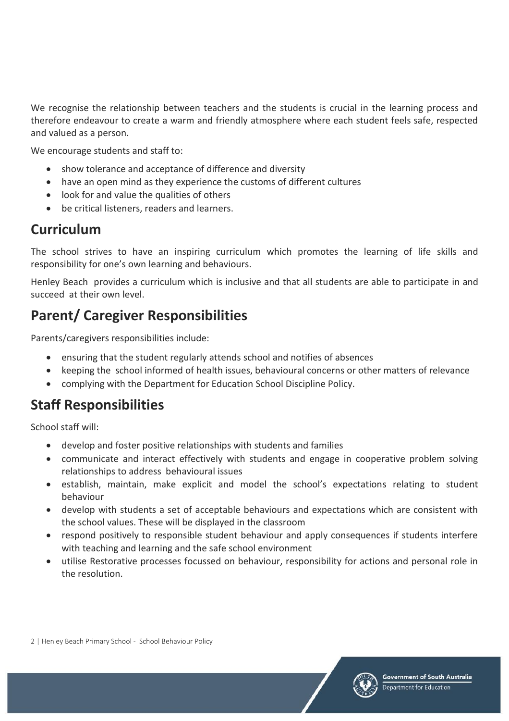We recognise the relationship between teachers and the students is crucial in the learning process and therefore endeavour to create a warm and friendly atmosphere where each student feels safe, respected and valued as a person.

We encourage students and staff to:

- show tolerance and acceptance of difference and diversity
- have an open mind as they experience the customs of different cultures
- look for and value the qualities of others
- be critical listeners, readers and learners.

#### **Curriculum**

The school strives to have an inspiring curriculum which promotes the learning of life skills and responsibility for one's own learning and behaviours.

Henley Beach provides a curriculum which is inclusive and that all students are able to participate in and succeed at their own level.

## **Parent/ Caregiver Responsibilities**

Parents/caregivers responsibilities include:

- ensuring that the student regularly attends school and notifies of absences
- keeping the school informed of health issues, behavioural concerns or other matters of relevance
- complying with the Department for Education School Discipline Policy.

### **Staff Responsibilities**

School staff will:

- develop and foster positive relationships with students and families
- communicate and interact effectively with students and engage in cooperative problem solving relationships to address behavioural issues
- establish, maintain, make explicit and model the school's expectations relating to student behaviour
- develop with students a set of acceptable behaviours and expectations which are consistent with the school values. These will be displayed in the classroom
- respond positively to responsible student behaviour and apply consequences if students interfere with teaching and learning and the safe school environment
- utilise Restorative processes focussed on behaviour, responsibility for actions and personal role in the resolution.